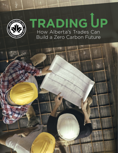

# How Alberta's Trades Can **TRADING**

Build a Zero Carbon Future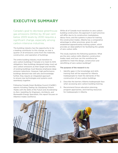# **EXECUTIVE SUMMARY**

Canada's goal to decrease greenhouse gas emissions (GHGs) by 30 per cent below 2005 levels by 2030 requires a significant change, especially among carbon-intensive industries.

The building industry has the opportunity to be a leading contributor to this change, as over a quarter of all emissions come from the materials, construction, and operation of buildings.

The entire building industry must transition to zero carbon buildings if Canada is to meet its GHG obligations. New buildings designed today must set zero carbon emissions as their target and retrofits of existing buildings must likewise emphasize deep emission reductions. However, high-performance buildings demand new skill sets and knowledge; further, they require an integrated approach to ensure new technologies and systems work seamlessly together.

Following Canada Green Building Council (CaGBC) reports including *Trading Up: Equipping Ontario Trades with the Skills of the Future* and *Accelerating to Zero: Upskilling for Engineers, Architects, and Renewable Energy Specialists*, this report focuses on Alberta's trades workforce.

While all of Canada must transition to zero carbon building construction, the approach in each province will differ due to its construction marketplace, labour force, and the systems in place for training the construction trades. Alberta has a comparative advantage to other provinces, given its wellestablished apprenticeship training system, which provides an ideal platform for facilitating the uptake of zero carbon skills.

This study explores the following questions: What are the zero carbon skills Alberta's construction trades need, and how can this workforce be upskilled to meet the design, construction and retrofitting of zero carbon buildings?

#### The purpose of the research is to:

- 1. Identify gaps in the knowledge and skills training that will be required for Alberta tradespeople to meet the demands of the construction of zero carbon buildings.
- 2. Describe the barriers Alberta tradespeople face when accessing zero carbon building training.
- 3. Recommend future education planning, program approaches, and training resources for tradespeople in Alberta.

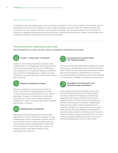### RECOMMENDATIONS

To address these knowledge gaps and encourage skill uptake in this sector, CaGBC recommends actions designed to incentivize the adoption of zero carbon building expertise within the Alberta trades and to ensure that zero carbon training is relevant and accessible. The recommendations are structured to reflect the suggested lead organizations and bodies, including policy decision-makers, accreditation and professional bodies, and education and training providers.

#### **Provide Incentives for Acquiring Zero-Carbon Skills**

Recommendations for policy decision makers, accreditation and professional bodies:



# **Create a "Green Seal" Certificate**

Similar to the existing Gold Seal and Blue Seal certifications for management and business skills, create an industry-led "green seal" certification. The existence of a recognized industry credential will incentivize tradespeople to upskill, and help employers recognize the value of the skills workers have acquired.



# **Require Continuous Learning**

Require mandatory continuing education to ensure that Alberta's tradespeople are ready for the growing market demand for zero carbon buildings. A system of mandatory continuing education for construction trades should be modelled on what is currently required for Master Electricians in Alberta.



## **Establish Micro-Credentials**

Education and training partners need to offer education in micro-credentials to appeal to busy tradespeople. Micro-credentials are best utilized as an enhancement to apprenticeship training. This approach allows tradespeople to learn the skills or portions of skills that they require in a flexible manner that makes sense to their individual circumstances.



#### **Incorporate Zero-Carbon Skills into Apprenticeships**

Individual trade apprenticeship programs should be enhanced by incorporating zero-carbon technical skills. Further, as construction becomes more complex and multi-disciplinary, all apprentices should be literate and skilled in building science, and buildings as a system as it applies to advanced construction.



#### **Strengthen Provincial and Local Apprenticeship Committees**

Local Apprenticeship Committees (LACs) and Provincial Apprenticeship Committees (PACs) can help address the challenges of balancing emerging technologies and practices into the apprenticeship curricula without overwhelming learners. More frequent meetings, collaboration with post-secondary training institutions and industry members can help improve zero-carbon skills training through Alberta's well-established apprenticeship programs. Helping ensure access to current training is especially important, as in many cases, the apprenticeship will be the only formal training tradespeople receive in their career.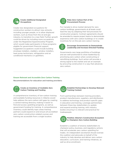

#### **Create Additional Designated Occupations**

Create new designated occupations for construction workers to attract new entrants, including younger people, or to allow displaced workers, such as those from the oil and gas industry, to transition to a new field. Further growth could be driven by including more occupations under the Registered Apprenticeship Program, which would make participants in those programs eligible for government financial support. Suggested occupations could include building envelope installers, cladders, window installers, heat pump technicians, refrigeration and air conditional mechanics or gasfitters.



#### **Make Zero Carbon Part of the Procurement Process**

For Canada to drive market demand for zero carbon buildings, governments at all levels could lead the way by adapting their bid processes for construction projects. Contract agreements should be amended to require project teams to demonstrate experience with zero carbon buildings or to create incentives for on-the-job zero carbon training.



#### **Encourage Governments to Demonstrate Leadership and Increase Directed Funding**

Governments own large portfolios of buildings and are well-positioned to show leadership by prioritizing zero carbon when constructing or retrofitting buildings. Such action will provide a strong signal to the market and set an example by procuring construction in a way that advances zero carbon.

#### **Ensure Relevant and Accessible Zero Carbon Training**

Recommendations for education and training providers:



#### **Create an Inventory of Available Zero Carbon Training and Funding**

A comprehensive inventory of low-carbon training and available funding resources in Alberta would help address the zero-carbon skill gaps by creating a central training directory making it easier to find and access upskilling programs, as well as government funding for training. A comprehensive inventory could identify topic areas training partners could expand on and ensure all accredited zero carbon construction-related courses and training are accessible from a single location.



#### **Establish Partnerships to Develop Relevant Training Content**

Form partnerships between training providers, product manufacturers, suppliers, and distributors to address technology and product-specific gaps in education and training. Leverage partnerships between these key stakeholders to update and expand existing training, with industry bodies ensuring it is relevant and practical for tradespeople.



#### **Mobilize Alberta's Construction Ecosystem to Champion Zero Carbon Building**

Establish a coalition of diverse stakeholders to champion policy, business, and regulatory actions that will accelerate zero carbon upskilling for trades. An independent secretariat should oversee the coalition and advocate on behalf of the industry to help develop and deliver zero-carbon education, curriculum, and training initiatives, as well as drive enrollment.